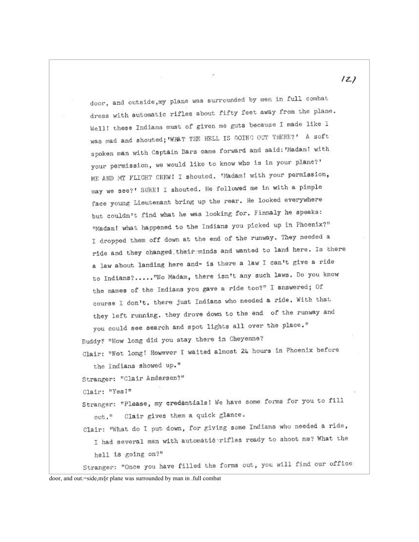$121$ door, and outside, my plane was surrounded by men in full combat dress with automatic rifles about fifty feet away from the plane. Well! these Indians must of given me guts because I made like I was mad and shouted; WHAT THE HELL IS GOING OUT THERE?' A soft spoken man with Captain Bars came forward and said: 'Madam! with your permission, we would like to know who is in your plane?' ME AND MY FLIGHT CREW! I shouted. 'Madam! with your permission, may we see?' SURE! I shouted. He followed me in with a pimple face young Lieutenant bring up the rear. He looked everywhere but couldn't find what he was looking for. Finnaly he speaks: "Madam! what happened to the Indians you picked up in Phoenix?" I dropped them off down at the end of the runway. They needed a ride and they changed their minds and wanted to land here. Is there a law about landing here and- is there a law I can't give a ride to Indians?....."No Madam, there isn't any such laws. Do you know the names of the Indians you gave a ride too?" I answered; Of course I don't, there just Indians who needed a ride. With that they left running, they drove down to the end of the runway and

you could see search and spot lights all over the place." Buddy! "How long did you stay there in Cheyenne? Clair: "Not long! However I waited almost 24 hours in Phoenix before

the Indians showed up."

Stranger: "Clair Andersen?"

Clair: "Yes!"

Stranger: "Please, my credentials! We have some forms for you to fill out." Clair gives them a quick glance.

Clair: "What do I put down, for giving some Indians who needed a ride, I had several men with automatic rifles ready to shoot me? What the hell is going on?"

Stranger: "Once you have filled the forms out, you will find our office

door, and out.=side,m§r plane was surrounded by man in .full combat